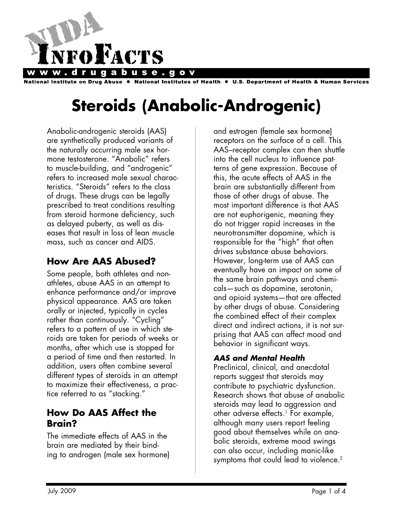

# **Steroids (Anabolic-Androgenic)**

Anabolic-androgenic steroids (AAS) are synthetically produced variants of the naturally occurring male sex hormone testosterone. "Anabolic" refers to muscle-building, and "androgenic" refers to increased male sexual characteristics. "Steroids" refers to the class of drugs. These drugs can be legally prescribed to treat conditions resulting from steroid hormone deficiency, such as delayed puberty, as well as diseases that result in loss of lean muscle mass, such as cancer and AIDS.

# **How Are AAS Abused?**

Some people, both athletes and nonathletes, abuse AAS in an attempt to enhance performance and/or improve physical appearance. AAS are taken orally or injected, typically in cycles rather than continuously. "Cycling" refers to a pattern of use in which steroids are taken for periods of weeks or months, after which use is stopped for a period of time and then restarted. In addition, users often combine several different types of steroids in an attempt to maximize their effectiveness, a practice referred to as "stacking."

## **How Do AAS Affect the Brain?**

The immediate effects of AAS in the brain are mediated by their binding to androgen (male sex hormone) and estrogen (female sex hormone) receptors on the surface of a cell. This AAS–receptor complex can then shuttle into the cell nucleus to influence patterns of gene expression. Because of this, the acute effects of AAS in the brain are substantially different from those of other drugs of abuse. The most important difference is that AAS are not euphorigenic, meaning they do not trigger rapid increases in the neurotransmitter dopamine, which is responsible for the "high" that often drives substance abuse behaviors. However, long-term use of AAS can eventually have an impact on some of the same brain pathways and chemicals—such as dopamine, serotonin, and opioid systems—that are affected by other drugs of abuse. Considering the combined effect of their complex direct and indirect actions, it is not surprising that AAS can affect mood and behavior in significant ways.

## *AAS and Mental Health*

Preclinical, clinical, and anecdotal reports suggest that steroids may contribute to psychiatric dysfunction. Research shows that abuse of anabolic steroids may lead to aggression and other adverse effects.1 For example, although many users report feeling good about themselves while on anabolic steroids, extreme mood swings can also occur, including manic-like symptoms that could lead to violence.<sup>2</sup>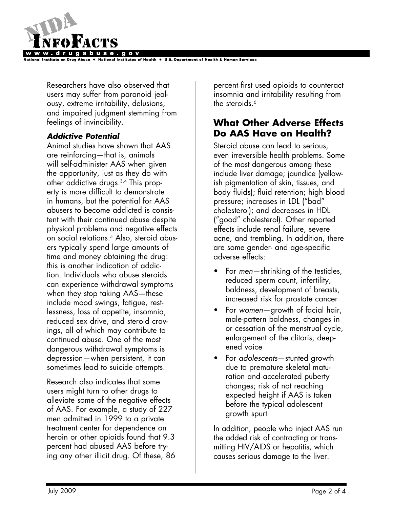

National Institutes of Health . U.S. Department of Health & Human Service

Researchers have also observed that users may suffer from paranoid jealousy, extreme irritability, delusions, and impaired judgment stemming from feelings of invincibility.

### *Addictive Potential*

Animal studies have shown that AAS are reinforcing—that is, animals will self-administer AAS when given the opportunity, just as they do with other addictive drugs.3,4 This property is more difficult to demonstrate in humans, but the potential for AAS abusers to become addicted is consistent with their continued abuse despite physical problems and negative effects on social relations.5 Also, steroid abusers typically spend large amounts of time and money obtaining the drug: this is another indication of addiction. Individuals who abuse steroids can experience withdrawal symptoms when they stop taking AAS—these include mood swings, fatigue, restlessness, loss of appetite, insomnia, reduced sex drive, and steroid cravings, all of which may contribute to continued abuse. One of the most dangerous withdrawal symptoms is depression—when persistent, it can sometimes lead to suicide attempts.

Research also indicates that some users might turn to other drugs to alleviate some of the negative effects of AAS. For example, a study of 227 men admitted in 1999 to a private treatment center for dependence on heroin or other opioids found that 9.3 percent had abused AAS before trying any other illicit drug. Of these, 86 percent first used opioids to counteract insomnia and irritability resulting from the steroids.<sup>6</sup>

## **What Other Adverse Effects Do AAS Have on Health?**

Steroid abuse can lead to serious, even irreversible health problems. Some of the most dangerous among these include liver damage; jaundice (yellowish pigmentation of skin, tissues, and body fluids); fluid retention; high blood pressure; increases in LDL ("bad" cholesterol); and decreases in HDL ("good" cholesterol). Other reported effects include renal failure, severe acne, and trembling. In addition, there are some gender- and age-specific adverse effects:

- For *men*—shrinking of the testicles, reduced sperm count, infertility, baldness, development of breasts, increased risk for prostate cancer
- For *women*—growth of facial hair, male-pattern baldness, changes in or cessation of the menstrual cycle, enlargement of the clitoris, deepened voice
- • For *adolescents*—stunted growth due to premature skeletal maturation and accelerated puberty changes; risk of not reaching expected height if AAS is taken before the typical adolescent growth spurt

In addition, people who inject AAS run the added risk of contracting or transmitting HIV/AIDS or hepatitis, which causes serious damage to the liver.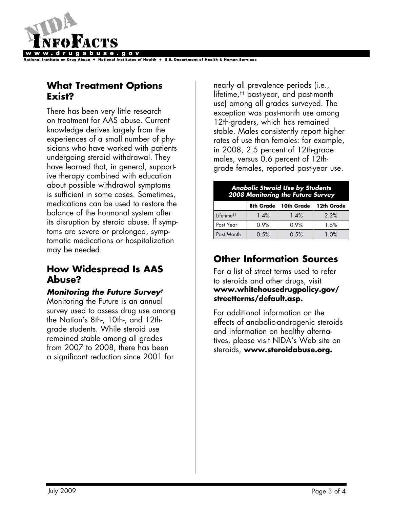

National Institutes of Health . U.S. Department of Health & Human Services

## **What Treatment Options Exist?**

There has been very little research on treatment for AAS abuse. Current knowledge derives largely from the experiences of a small number of physicians who have worked with patients undergoing steroid withdrawal. They have learned that, in general, supportive therapy combined with education about possible withdrawal symptoms is sufficient in some cases. Sometimes, medications can be used to restore the balance of the hormonal system after its disruption by steroid abuse. If symptoms are severe or prolonged, symptomatic medications or hospitalization may be needed.

## **How Widespread Is AAS Abuse?**

#### *Monitoring the Future Survey†*

Monitoring the Future is an annual survey used to assess drug use among the Nation's 8th-, 10th-, and 12thgrade students. While steroid use remained stable among all grades from 2007 to 2008, there has been a significant reduction since 2001 for

nearly all prevalence periods (i.e., lifetime,†† past-year, and past-month use) among all grades surveyed. The exception was past-month use among 12th-graders, which has remained stable. Males consistently report higher rates of use than females: for example, in 2008, 2.5 percent of 12th-grade males, versus 0.6 percent of 12thgrade females, reported past-year use.

#### *Anabolic Steroid Use by Students 2008 Monitoring the Future Survey* **8th Grade 10th Grade 12th Grade**

|                        | om vruue i | TVIII VIUUT | TZIII VIUUT |
|------------------------|------------|-------------|-------------|
| Lifetime <sup>tt</sup> | 1.4%       | 1.4%        | 2.2%        |
| Past Year              | 0.9%       | 0.9%        | 1.5%        |
| Past Month             | 0.5%       | 0.5%        | 1.0%        |

# **Other Information Sources**

For a list of street terms used to refer to steroids and other drugs, visit **www.whitehousedrugpolicy.gov/ streetterms/default.asp.** 

For additional information on the effects of anabolic-androgenic steroids and information on healthy alternatives, please visit NIDA's Web site on steroids, **www.steroidabuse.org.**